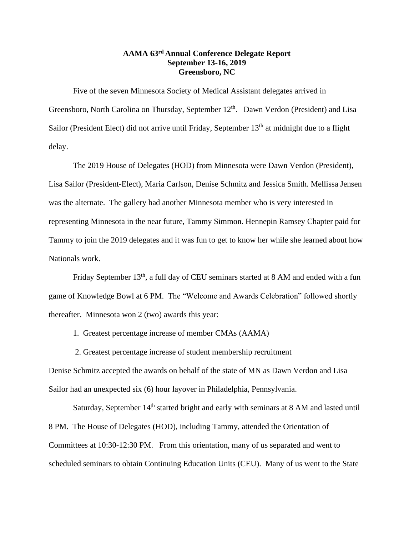## **AAMA 63 rd Annual Conference Delegate Report September 13-16, 2019 Greensboro, NC**

Five of the seven Minnesota Society of Medical Assistant delegates arrived in Greensboro, North Carolina on Thursday, September 12<sup>th</sup>. Dawn Verdon (President) and Lisa Sailor (President Elect) did not arrive until Friday, September 13<sup>th</sup> at midnight due to a flight delay.

The 2019 House of Delegates (HOD) from Minnesota were Dawn Verdon (President), Lisa Sailor (President-Elect), Maria Carlson, Denise Schmitz and Jessica Smith. Mellissa Jensen was the alternate. The gallery had another Minnesota member who is very interested in representing Minnesota in the near future, Tammy Simmon. Hennepin Ramsey Chapter paid for Tammy to join the 2019 delegates and it was fun to get to know her while she learned about how Nationals work.

Friday September 13<sup>th</sup>, a full day of CEU seminars started at 8 AM and ended with a fun game of Knowledge Bowl at 6 PM. The "Welcome and Awards Celebration" followed shortly thereafter. Minnesota won 2 (two) awards this year:

1. Greatest percentage increase of member CMAs (AAMA)

2. Greatest percentage increase of student membership recruitment

Denise Schmitz accepted the awards on behalf of the state of MN as Dawn Verdon and Lisa Sailor had an unexpected six (6) hour layover in Philadelphia, Pennsylvania.

Saturday, September 14<sup>th</sup> started bright and early with seminars at 8 AM and lasted until 8 PM. The House of Delegates (HOD), including Tammy, attended the Orientation of Committees at 10:30-12:30 PM. From this orientation, many of us separated and went to scheduled seminars to obtain Continuing Education Units (CEU). Many of us went to the State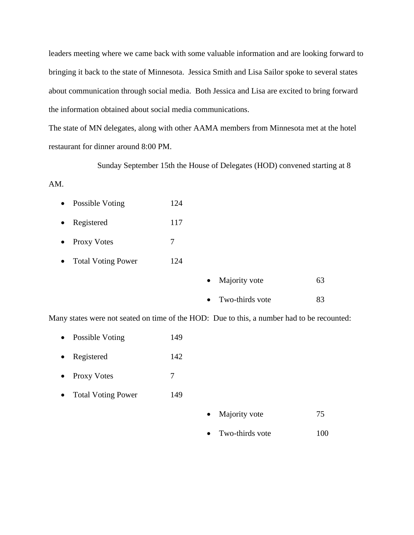leaders meeting where we came back with some valuable information and are looking forward to bringing it back to the state of Minnesota. Jessica Smith and Lisa Sailor spoke to several states about communication through social media. Both Jessica and Lisa are excited to bring forward the information obtained about social media communications.

The state of MN delegates, along with other AAMA members from Minnesota met at the hotel restaurant for dinner around 8:00 PM.

Sunday September 15th the House of Delegates (HOD) convened starting at 8

## AM.

| Possible Voting | 124 |
|-----------------|-----|
|                 |     |

- Registered 117
- Proxy Votes 7
- Total Voting Power 124

| $\bullet$ | Majority vote   | 63  |
|-----------|-----------------|-----|
|           | Two-thirds vote | 83. |

Many states were not seated on time of the HOD: Due to this, a number had to be recounted:

- Possible Voting 149
- Registered 142
- Proxy Votes 7
- Total Voting Power 149
- Majority vote 75
- Two-thirds vote 100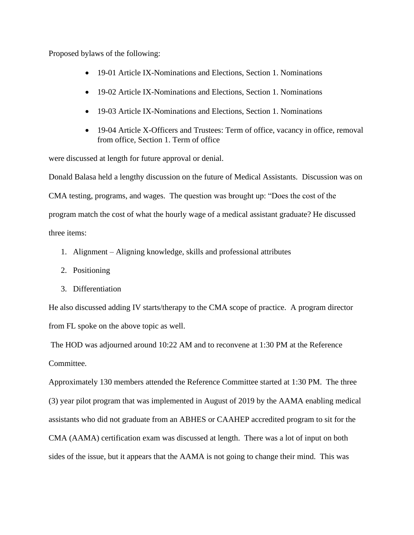Proposed bylaws of the following:

- 19-01 Article IX-Nominations and Elections, Section 1. Nominations
- 19-02 Article IX-Nominations and Elections, Section 1. Nominations
- 19-03 Article IX-Nominations and Elections, Section 1. Nominations
- 19-04 Article X-Officers and Trustees: Term of office, vacancy in office, removal from office, Section 1. Term of office

were discussed at length for future approval or denial.

Donald Balasa held a lengthy discussion on the future of Medical Assistants. Discussion was on CMA testing, programs, and wages. The question was brought up: "Does the cost of the program match the cost of what the hourly wage of a medical assistant graduate? He discussed three items:

- 1. Alignment Aligning knowledge, skills and professional attributes
- 2. Positioning
- 3. Differentiation

He also discussed adding IV starts/therapy to the CMA scope of practice. A program director from FL spoke on the above topic as well.

The HOD was adjourned around 10:22 AM and to reconvene at 1:30 PM at the Reference Committee.

Approximately 130 members attended the Reference Committee started at 1:30 PM. The three (3) year pilot program that was implemented in August of 2019 by the AAMA enabling medical assistants who did not graduate from an ABHES or CAAHEP accredited program to sit for the CMA (AAMA) certification exam was discussed at length. There was a lot of input on both sides of the issue, but it appears that the AAMA is not going to change their mind. This was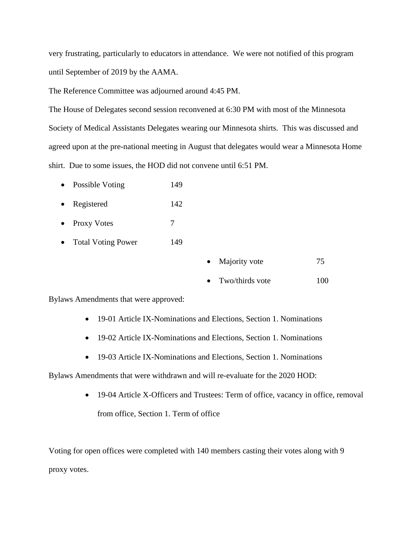very frustrating, particularly to educators in attendance. We were not notified of this program until September of 2019 by the AAMA.

The Reference Committee was adjourned around 4:45 PM.

The House of Delegates second session reconvened at 6:30 PM with most of the Minnesota Society of Medical Assistants Delegates wearing our Minnesota shirts. This was discussed and agreed upon at the pre-national meeting in August that delegates would wear a Minnesota Home shirt. Due to some issues, the HOD did not convene until 6:51 PM.

- Possible Voting 149
- Registered 142
- Proxy Votes 7
- Total Voting Power 149

|  | Majority vote |  |
|--|---------------|--|
|--|---------------|--|

• Two/thirds vote 100

Bylaws Amendments that were approved:

- 19-01 Article IX-Nominations and Elections, Section 1. Nominations
- 19-02 Article IX-Nominations and Elections, Section 1. Nominations
- 19-03 Article IX-Nominations and Elections, Section 1. Nominations

Bylaws Amendments that were withdrawn and will re-evaluate for the 2020 HOD:

• 19-04 Article X-Officers and Trustees: Term of office, vacancy in office, removal from office, Section 1. Term of office

Voting for open offices were completed with 140 members casting their votes along with 9 proxy votes.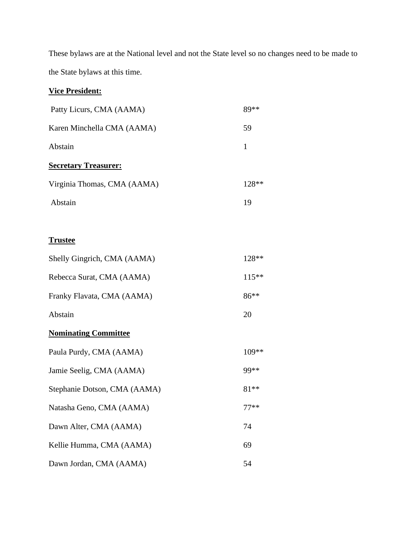These bylaws are at the National level and not the State level so no changes need to be made to the State bylaws at this time.

## **Vice President:**

| Patty Licurs, CMA (AAMA)    | $89**$ |
|-----------------------------|--------|
| Karen Minchella CMA (AAMA)  | 59     |
| Abstain                     | 1      |
| <b>Secretary Treasurer:</b> |        |
| Virginia Thomas, CMA (AAMA) | 128**  |
| Abstain                     | 19     |
|                             |        |
| <b>Trustee</b>              |        |

| Shelly Gingrich, CMA (AAMA)  | 128**   |
|------------------------------|---------|
| Rebecca Surat, CMA (AAMA)    | $115**$ |
| Franky Flavata, CMA (AAMA)   | $86**$  |
| Abstain                      | 20      |
| <b>Nominating Committee</b>  |         |
| Paula Purdy, CMA (AAMA)      | 109**   |
| Jamie Seelig, CMA (AAMA)     | 99**    |
| Stephanie Dotson, CMA (AAMA) | $81**$  |
| Natasha Geno, CMA (AAMA)     | $77**$  |
| Dawn Alter, CMA (AAMA)       | 74      |
| Kellie Humma, CMA (AAMA)     | 69      |
| Dawn Jordan, CMA (AAMA)      | 54      |